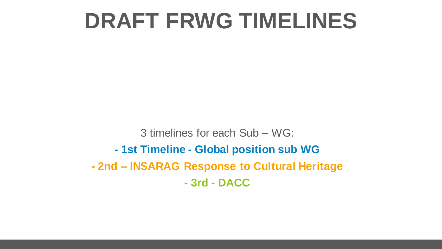## **DRAFT FRWG TIMELINES**

3 timelines for each Sub – WG: **- 1st Timeline - Global position sub WG - 2nd – INSARAG Response to Cultural Heritage - 3rd - DACC**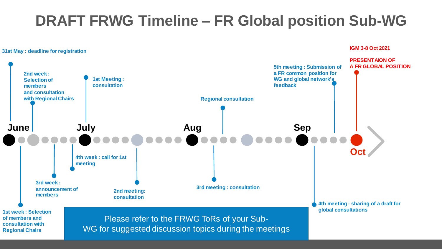## **DRAFT FRWG Timeline – FR Global position Sub-WG**

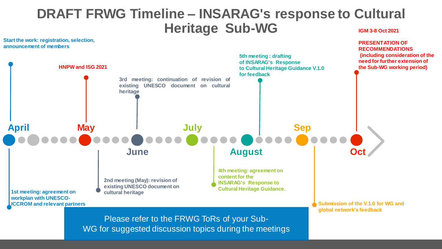## **DRAFT FRWG Timeline – INSARAG's response to Cultural Heritage Sub-WG IGM 3-8 Oct 2021**

**June August July Sep PRESENTATION OF RECOMMENDATIONS (including consideration of the need for further extension of the Sub-WG working period) 4th meeting: agreement on content for the HNPW and ISG 2021 5th meeting : drafting of INSARAG's Response to Cultural Heritage Guidance V.1.0 for feedback Start the work: registration, selection, April May 3rd meeting: continuation of revision of existing UNESCO document on cultural heritage**

> **INSARAG's Response to Cultural Heritage Guidance.**

**2nd meeting (May): revision of existing UNESCO document on cultural heritage**

**1st meeting: agreement on workplan with UNESCO-ICCROM and relevant partners**

**announcement of members**

**Submission of the V.1.0 for WG and global network's feedback**

Please refer to the FRWG ToRs of your Sub-WG for suggested discussion topics during the meetings